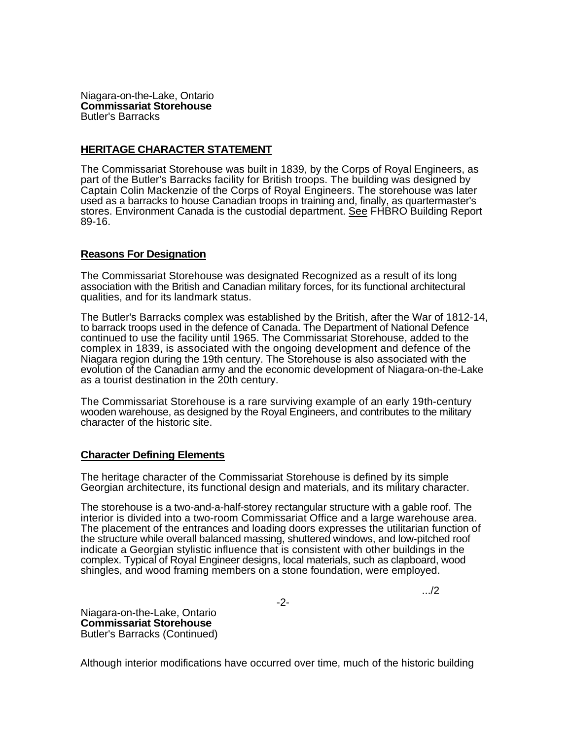Niagara-on-the-Lake, Ontario **Commissariat Storehouse**  Butler's Barracks

## **HERITAGE CHARACTER STATEMENT**

The Commissariat Storehouse was built in 1839, by the Corps of Royal Engineers, as part of the Butler's Barracks facility for British troops. The building was designed by Captain Colin Mackenzie of the Corps of Royal Engineers. The storehouse was later used as a barracks to house Canadian troops in training and, finally, as quartermaster's stores. Environment Canada is the custodial department. See FHBRO Building Report 89-16.

## **Reasons For Designation**

The Commissariat Storehouse was designated Recognized as a result of its long association with the British and Canadian military forces, for its functional architectural qualities, and for its landmark status.

The Butler's Barracks complex was established by the British, after the War of 1812-14, to barrack troops used in the defence of Canada. The Department of National Defence continued to use the facility until 1965. The Commissariat Storehouse, added to the complex in 1839, is associated with the ongoing development and defence of the Niagara region during the 19th century. The Storehouse is also associated with the evolution of the Canadian army and the economic development of Niagara-on-the-Lake as a tourist destination in the 20th century.

The Commissariat Storehouse is a rare surviving example of an early 19th-century wooden warehouse, as designed by the Royal Engineers, and contributes to the military character of the historic site.

## **Character Defining Elements**

The heritage character of the Commissariat Storehouse is defined by its simple Georgian architecture, its functional design and materials, and its military character.

The storehouse is a two-and-a-half-storey rectangular structure with a gable roof. The interior is divided into a two-room Commissariat Office and a large warehouse area. The placement of the entrances and loading doors expresses the utilitarian function of the structure while overall balanced massing, shuttered windows, and low-pitched roof indicate a Georgian stylistic influence that is consistent with other buildings in the complex. Typical of Royal Engineer designs, local materials, such as clapboard, wood shingles, and wood framing members on a stone foundation, were employed.

-2-

.../2

Niagara-on-the-Lake, Ontario **Commissariat Storehouse**  Butler's Barracks (Continued)

Although interior modifications have occurred over time, much of the historic building